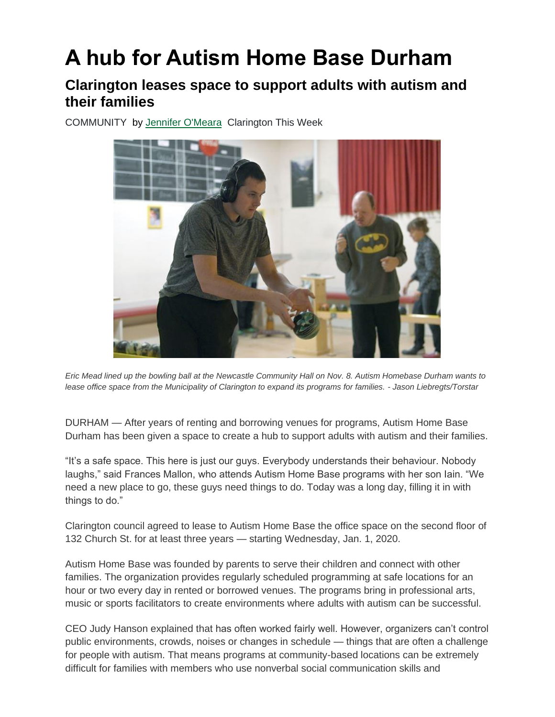## **A hub for Autism Home Base Durham**

## **Clarington leases space to support adults with autism and their families**

COMMUNITY by [Jennifer O'Meara](https://www.durhamregion.com/durhamregion-author/jennifer-o-meara/B49AD92B-CAF4-4A49-BC65-72E392616F3A/) Clarington This Week



*Eric Mead lined up the bowling ball at the Newcastle Community Hall on Nov. 8. Autism Homebase Durham wants to lease office space from the Municipality of Clarington to expand its programs for families. - Jason Liebregts/Torstar*

DURHAM — After years of renting and borrowing venues for programs, Autism Home Base Durham has been given a space to create a hub to support adults with autism and their families.

"It's a safe space. This here is just our guys. Everybody understands their behaviour. Nobody laughs," said Frances Mallon, who attends Autism Home Base programs with her son Iain. "We need a new place to go, these guys need things to do. Today was a long day, filling it in with things to do."

Clarington council agreed to lease to Autism Home Base the office space on the second floor of 132 Church St. for at least three years — starting Wednesday, Jan. 1, 2020.

Autism Home Base was founded by parents to serve their children and connect with other families. The organization provides regularly scheduled programming at safe locations for an hour or two every day in rented or borrowed venues. The programs bring in professional arts, music or sports facilitators to create environments where adults with autism can be successful.

CEO Judy Hanson explained that has often worked fairly well. However, organizers can't control public environments, crowds, noises or changes in schedule — things that are often a challenge for people with autism. That means programs at community-based locations can be extremely difficult for families with members who use nonverbal social communication skills and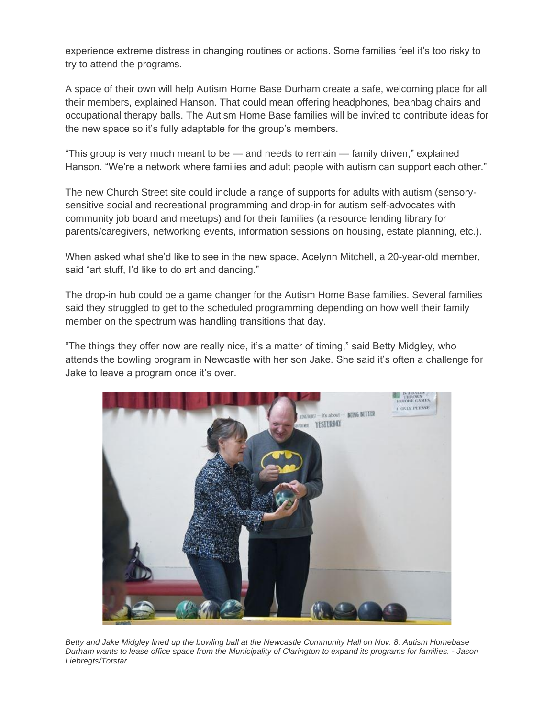experience extreme distress in changing routines or actions. Some families feel it's too risky to try to attend the programs.

A space of their own will help Autism Home Base Durham create a safe, welcoming place for all their members, explained Hanson. That could mean offering headphones, beanbag chairs and occupational therapy balls. The Autism Home Base families will be invited to contribute ideas for the new space so it's fully adaptable for the group's members.

"This group is very much meant to be — and needs to remain — family driven," explained Hanson. "We're a network where families and adult people with autism can support each other."

The new Church Street site could include a range of supports for adults with autism (sensorysensitive social and recreational programming and drop-in for autism self-advocates with community job board and meetups) and for their families (a resource lending library for parents/caregivers, networking events, information sessions on housing, estate planning, etc.).

When asked what she'd like to see in the new space, Acelynn Mitchell, a 20-year-old member, said "art stuff, I'd like to do art and dancing."

The drop-in hub could be a game changer for the Autism Home Base families. Several families said they struggled to get to the scheduled programming depending on how well their family member on the spectrum was handling transitions that day.

"The things they offer now are really nice, it's a matter of timing," said Betty Midgley, who attends the bowling program in Newcastle with her son Jake. She said it's often a challenge for Jake to leave a program once it's over.



*Betty and Jake Midgley lined up the bowling ball at the Newcastle Community Hall on Nov. 8. Autism Homebase Durham wants to lease office space from the Municipality of Clarington to expand its programs for families. - Jason Liebregts/Torstar*